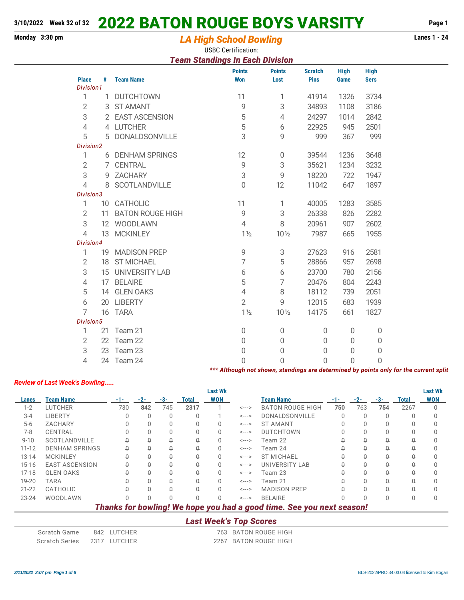# **Monday 3:30 pm Lanes 1 - 24** *LA High School Bowling*

USBC Certification:

#### *Team Standings In Each Division*

|                           |    |                         | <b>Points</b>                                                                         | <b>Points</b>   | <b>Scratch</b> | <b>High</b>    | <b>High</b>  |  |
|---------------------------|----|-------------------------|---------------------------------------------------------------------------------------|-----------------|----------------|----------------|--------------|--|
| <b>Place</b><br>Division1 |    | # Team Name             | <b>Won</b>                                                                            | Lost            | <b>Pins</b>    | Game           | <b>Sers</b>  |  |
| 1                         |    | 1 DUTCHTOWN             | 11                                                                                    | 1               | 41914          | 1326           | 3734         |  |
| $\overline{2}$            | 3  | <b>ST AMANT</b>         | $\overline{9}$                                                                        | 3               | 34893          | 1108           | 3186         |  |
| 3                         |    | 2 EAST ASCENSION        | 5                                                                                     | 4               | 24297          | 1014           | 2842         |  |
| $\overline{4}$            |    | 4 LUTCHER               | 5                                                                                     | 6               | 22925          | 945            | 2501         |  |
| 5                         |    | 5 DONALDSONVILLE        | 3                                                                                     | 9               | 999            | 367            | 999          |  |
| Division2                 |    |                         |                                                                                       |                 |                |                |              |  |
| 1                         |    | 6 DENHAM SPRINGS        | 12                                                                                    | $\mathbf 0$     | 39544          | 1236           | 3648         |  |
| $\overline{2}$            |    | 7 CENTRAL               | $\overline{9}$                                                                        | 3               | 35621          | 1234           | 3232         |  |
| 3                         |    | 9 ZACHARY               | 3                                                                                     | $\mathsf 9$     | 18220          | 722            | 1947         |  |
| $\overline{4}$            | 8  | SCOTLANDVILLE           | $\Omega$                                                                              | 12              | 11042          | 647            | 1897         |  |
| Division3                 |    |                         |                                                                                       |                 |                |                |              |  |
| 1                         |    | 10 CATHOLIC             | 11                                                                                    | 1               | 40005          | 1283           | 3585         |  |
| $\overline{2}$            | 11 | <b>BATON ROUGE HIGH</b> | $\mathsf g$                                                                           | 3               | 26338          | 826            | 2282         |  |
| 3                         |    | 12 WOODLAWN             | $\overline{4}$                                                                        | 8               | 20961          | 907            | 2602         |  |
| $\overline{4}$            | 13 | <b>MCKINLEY</b>         | $1\frac{1}{2}$                                                                        | $10\frac{1}{2}$ | 7987           | 665            | 1955         |  |
| Division4                 |    |                         |                                                                                       |                 |                |                |              |  |
| 1                         |    | 19 MADISON PREP         | 9                                                                                     | 3               | 27623          | 916            | 2581         |  |
| $\overline{2}$            |    | 18 ST MICHAEL           | $\overline{7}$                                                                        | 5               | 28866          | 957            | 2698         |  |
| 3                         |    | 15 UNIVERSITY LAB       | 6                                                                                     | 6               | 23700          | 780            | 2156         |  |
| $\overline{4}$            |    | 17 BELAIRE              | 5                                                                                     | 7               | 20476          | 804            | 2243         |  |
| 5                         |    | 14 GLEN OAKS            | $\overline{4}$                                                                        | 8               | 18112          | 739            | 2051         |  |
| 6                         | 20 | <b>LIBERTY</b>          | $\overline{2}$                                                                        | 9               | 12015          | 683            | 1939         |  |
| $\overline{7}$            | 16 | <b>TARA</b>             | $1\frac{1}{2}$                                                                        | $10\frac{1}{2}$ | 14175          | 661            | 1827         |  |
| Division5                 |    |                         |                                                                                       |                 |                |                |              |  |
| 1                         | 21 | Team 21                 | $\mathbf 0$                                                                           | 0               | 0              | $\mathbf{0}$   | $\mathbf{0}$ |  |
| $\mathbf{2}$              |    | 22 Team 22              | $\mathbf 0$                                                                           | $\mathbf 0$     | 0              | $\Omega$       | 0            |  |
| $\ensuremath{\mathsf{3}}$ | 23 | Team 23                 | $\theta$                                                                              | 0               | 0              | 0              | 0            |  |
| 4                         | 24 | Team 24                 | $\Omega$                                                                              | $\overline{0}$  | 0              | $\overline{0}$ | 0            |  |
|                           |    |                         | *** Although not shown, standings are determined by points only for the current split |                 |                |                |              |  |

#### *Review of Last Week's Bowling.....*

|           |                                                                       |     |       |     |       | <b>Last Wk</b> |                            |                         |       |        |          |       | <b>Last Wk</b> |
|-----------|-----------------------------------------------------------------------|-----|-------|-----|-------|----------------|----------------------------|-------------------------|-------|--------|----------|-------|----------------|
| Lanes     | <b>Team Name</b>                                                      | -1- | $-2-$ | -3- | Total | <b>WON</b>     |                            | Team Name               | $-1-$ | $-2-$  | $-3-$    | Total | <b>WON</b>     |
| $1 - 2$   | <b>LUTCHER</b>                                                        | 730 | 842   | 745 | 2317  |                | $\leftarrow$ $\rightarrow$ | <b>BATON ROUGE HIGH</b> | 750   | 763    | 754      | 2267  |                |
| $3 - 4$   | LIBERTY                                                               |     | Q     | Ω   | Q     |                | $\leftarrow$ --->          | DONALDSONVILLE          |       | Q      | Q        |       |                |
| $5-6$     | ZACHARY                                                               |     |       |     |       |                | $\leftarrow$ $\rightarrow$ | <b>ST AMANT</b>         |       | Ω      | Ω        |       |                |
| $7 - 8$   | CENTRAL                                                               |     | Ω     | Ω   | Q     |                | $\leftarrow$ --->          | <b>DUTCHTOWN</b>        |       | Q      | Q        |       |                |
| $9 - 10$  | SCOTLANDVILLE                                                         | Ω   |       | Ω   | Q     | U              | $\leftarrow$ $\rightarrow$ | Team 22                 |       | Q      | Q        |       |                |
| $11 - 12$ | <b>DENHAM SPRINGS</b>                                                 |     |       | Ω   | Q     |                | $\leftarrow$ --->          | Team 24                 |       | Q      | Ω        |       |                |
| $13 - 14$ | <b>MCKINLEY</b>                                                       | Ω   | Q     | Q   | Û     |                | $\leftarrow$ $\rightarrow$ | <b>ST MICHAEL</b>       |       | Q      | Q        |       |                |
| $15 - 16$ | <b>EAST ASCENSION</b>                                                 |     | Q     | Ω   | Û     |                | $\leftarrow$ $\rightarrow$ | <b>UNIVERSITY LAB</b>   |       | Q      | Q        |       |                |
| $17-18$   | <b>GLEN OAKS</b>                                                      |     |       |     | Ω     |                | $\leftarrow$ --->          | Team 23                 |       | Ω      | Ω        |       |                |
| 19-20     | TARA                                                                  |     |       |     | Q     |                | $\leftarrow$ --->          | Team 21                 |       | Q      | Q        |       |                |
| $21 - 22$ | CATHOLIC                                                              | Ω   | Q     | Ω   | Û     | U              | $\leftarrow$ $\rightarrow$ | <b>MADISON PREP</b>     |       | Q      | Q        |       |                |
| $23 - 24$ | WOODLAWN                                                              |     |       |     |       |                | $\leftarrow$ $\rightarrow$ | <b>BELAIRE</b>          |       | $\Box$ | $\Omega$ |       |                |
|           | Thanks for bowling! We hope you had a good time. See you next season! |     |       |     |       |                |                            |                         |       |        |          |       |                |
|           |                                                                       |     |       |     |       | ___________    | __                         |                         |       |        |          |       |                |

#### *Last Week's Top Scores*

| Scratch Game   | 842 LUTCHER  | 763 BATON ROUGE HIGH  |
|----------------|--------------|-----------------------|
| Scratch Series | 2317 LUTCHER | 2267 BATON ROUGE HIGH |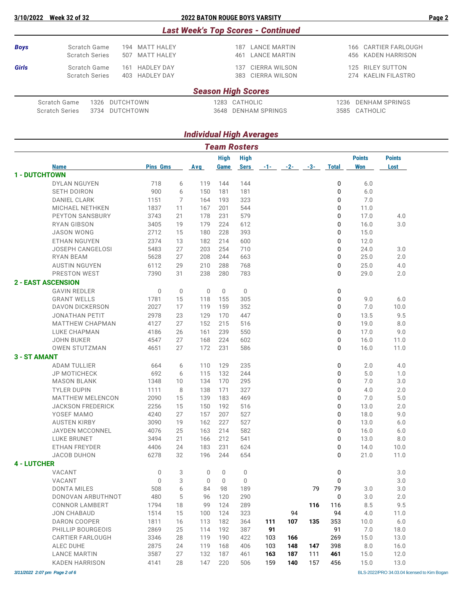|             |                       |                          | <b>Last Week's Top Scores - Continued</b> |               |      |                      |
|-------------|-----------------------|--------------------------|-------------------------------------------|---------------|------|----------------------|
| <b>Boys</b> | Scratch Game          | 194 MATT HALEY           | 187                                       | LANCE MARTIN  |      | 166 CARTIER FARLOUGH |
|             | <b>Scratch Series</b> | 507 MATT HALEY           | 461                                       | LANCE MARTIN  |      | 456 KADEN HARRISON   |
| Girls       | Scratch Game          | <b>HADLEY DAY</b><br>161 | 137                                       | CIERRA WILSON |      | 125 RILEY SUTTON     |
|             | <b>Scratch Series</b> | 403 HADLEY DAY           | 383                                       | CIERRA WILSON |      | 274 KAELIN FILASTRO  |
|             |                       |                          | <b>Season High Scores</b>                 |               |      |                      |
|             | Scratch Game<br>1326  | DUTCHTOWN                | 1283 CATHOLIC                             |               | 1236 | DENHAM SPRINGS       |

| Scratch Game 1326 DUTCHTOWN   |  | 1283 CATHOLIC       | 1236 DENHAM SPRINGS |
|-------------------------------|--|---------------------|---------------------|
| Scratch Series 3734 DUTCHTOWN |  | 3648 DENHAM SPRINGS | 3585 CATHOLIC       |

## *Individual High Averages*

| <b>Team Rosters</b>  |                                              |                 |             |             |              |              |            |            |            |                |               |               |  |
|----------------------|----------------------------------------------|-----------------|-------------|-------------|--------------|--------------|------------|------------|------------|----------------|---------------|---------------|--|
|                      |                                              |                 |             |             | <b>High</b>  | <b>High</b>  |            |            |            |                | <b>Points</b> | <b>Points</b> |  |
|                      | <b>Name</b>                                  | <b>Pins Gms</b> |             | Avg         | Game         | <b>Sers</b>  | $-1-$      | $-2-$      | -3-        | <b>Total</b>   | <b>Won</b>    | Lost          |  |
| <b>1 - DUTCHTOWN</b> |                                              |                 |             |             |              |              |            |            |            |                |               |               |  |
|                      | <b>DYLAN NGUYEN</b>                          | 718             | 6           | 119         | 144          | 144          |            |            |            | 0              | $6.0$         |               |  |
|                      | <b>SETH DOIRON</b>                           | 900             | 6           | 150         | 181          | 181          |            |            |            | 0              | $6.0$         |               |  |
|                      | <b>DANIEL CLARK</b>                          | 1151            | 7           | 164         | 193          | 323          |            |            |            | 0              | 7.0           |               |  |
|                      | MICHAEL NETHKEN                              | 1837            | 11          | 167         | 201          | 544          |            |            |            | 0              | 11.0          |               |  |
|                      | PEYTON SANSBURY                              | 3743            | 21          | 178         | 231          | 579          |            |            |            | 0              | 17.0          | 4.0           |  |
|                      | <b>RYAN GIBSON</b>                           | 3405            | 19          | 179         | 224          | 612          |            |            |            | 0              | 16.0          | 3.0           |  |
|                      | <b>JASON WONG</b>                            | 2712            | 15          | 180         | 228          | 393          |            |            |            | 0              | 15.0          |               |  |
|                      | <b>ETHAN NGUYEN</b>                          | 2374            | 13          | 182         | 214          | 600          |            |            |            | 0              | 12.0          |               |  |
|                      | <b>JOSEPH CANGELOSI</b>                      | 5483            | 27          | 203         | 254          | 710          |            |            |            | 0              | 24.0          | 3.0           |  |
|                      | <b>RYAN BEAM</b>                             | 5628            | 27          | 208         | 244          | 663          |            |            |            | 0              | 25.0          | 2.0           |  |
|                      | <b>AUSTIN NGUYEN</b>                         | 6112            | 29          | 210         | 288          | 768          |            |            |            | 0              | 25.0          | 4.0           |  |
|                      | PRESTON WEST                                 | 7390            | 31          | 238         | 280          | 783          |            |            |            | 0              | 29.0          | 2.0           |  |
|                      | <b>2 - EAST ASCENSION</b>                    |                 |             |             |              |              |            |            |            |                |               |               |  |
|                      | <b>GAVIN REDLER</b>                          | $\mathbf{0}$    | $\mathbf 0$ | $\mathbf 0$ | $\mathbf{0}$ | $\mathbf 0$  |            |            |            | 0              |               |               |  |
|                      | <b>GRANT WELLS</b>                           | 1781            | 15          | 118         | 155          | 305          |            |            |            | 0              | 9.0           | 6.0           |  |
|                      | <b>DAVON DICKERSON</b>                       | 2027            | 17          | 119         | 159          | 352          |            |            |            | 0              | 7.0           | 10.0          |  |
|                      | <b>JONATHAN PETIT</b>                        | 2978            | 23          | 129         | 170          | 447          |            |            |            | 0              | 13.5          | 9.5           |  |
|                      | <b>MATTHEW CHAPMAN</b>                       | 4127            | 27          | 152         | 215          | 516          |            |            |            | 0              | 19.0          | 8.0           |  |
|                      | LUKE CHAPMAN                                 | 4186            | 26          | 161         | 239          | 550          |            |            |            | 0              | 17.0          | 9.0           |  |
|                      | <b>JOHN BUKER</b>                            | 4547            | 27          | 168         | 224          | 602          |            |            |            | 0              | 16.0          | 11.0          |  |
|                      | <b>OWEN STUTZMAN</b>                         | 4651            | 27          | 172         | 231          | 586          |            |            |            | 0              | 16.0          | 11.0          |  |
| <b>3 - ST AMANT</b>  |                                              |                 |             |             |              |              |            |            |            |                |               |               |  |
|                      | <b>ADAM TULLIER</b>                          | 664             | 6           | 110         | 129          | 235          |            |            |            | 0              | 2.0           | 4.0           |  |
|                      | <b>JP MOTICHECK</b>                          | 692             | 6           | 115         | 132          | 244          |            |            |            | 0              | 5.0           | 1.0           |  |
|                      | <b>MASON BLANK</b>                           | 1348            | 10          | 134         | 170          | 295          |            |            |            | 0              | 7.0           | 3.0           |  |
|                      | <b>TYLER DUPIN</b>                           | 1111            | 8           | 138         | 171          | 327          |            |            |            | 0              | 4.0           | 2.0           |  |
|                      | <b>MATTHEW MELENCON</b>                      | 2090            | 15          | 139         | 183          | 469          |            |            |            | 0              | 7.0           | 5.0           |  |
|                      | <b>JACKSON FREDERICK</b>                     | 2256            | 15          | 150         | 192          | 516          |            |            |            | 0              | 13.0          | 2.0           |  |
|                      | YOSEF MAMO                                   | 4240            | 27          | 157         | 207          | 527          |            |            |            | 0              | 18.0          | 9.0           |  |
|                      | <b>AUSTEN KIRBY</b>                          | 3090            | 19          | 162         | 227          | 527          |            |            |            | 0              | 13.0          | 6.0           |  |
|                      | <b>JAYDEN MCCONNEL</b>                       | 4076            | 25          | 163         | 214          | 582          |            |            |            | 0              | 16.0          | 6.0           |  |
|                      | <b>LUKE BRUNET</b>                           | 3494            | 21          | 166         | 212          | 541          |            |            |            | 0              | 13.0          | 8.0           |  |
|                      | ETHAN FREYDER                                | 4406            | 24          | 183         | 231          | 624          |            |            |            | 0              | 14.0          | 10.0          |  |
|                      | <b>JACOB DUHON</b>                           | 6278            | 32          | 196         | 244          | 654          |            |            |            | 0              | 21.0          | 11.0          |  |
| <b>4 - LUTCHER</b>   |                                              |                 |             |             |              |              |            |            |            |                |               |               |  |
|                      | VACANT                                       | $\mathbf{0}$    | 3           | 0           | $\mathbf{0}$ | $\mathbf 0$  |            |            |            | 0              |               | 3.0           |  |
|                      | VACANT                                       | $\mathbf{0}$    | 3           | 0           | $\mathbf 0$  | $\mathbf{0}$ |            |            |            | $\overline{0}$ |               | $3.0\,$       |  |
|                      | <b>DONTA MILES</b>                           | 508             | 6           | 84          | 98           | 189          |            |            | 79         | 79             | 3.0           | 3.0           |  |
|                      | DONOVAN ARBUTHNOT                            | 480             | 5           | 96          | 120          | 290          |            |            |            | 0              | 3.0           | 2.0           |  |
|                      | <b>CONNOR LAMBERT</b>                        | 1794            | 18          | 99          | 124          | 289          |            |            | 116        | 116            | 8.5           | 9.5           |  |
|                      | <b>JON CHABAUD</b>                           | 1514            | 15          | 100         | 124          | 323          |            | 94         |            | 94             | 4.0           | 11.0          |  |
|                      | DARON COOPER                                 | 1811            | 16          | 113         | 182          | 364          | 111        | 107        | 135        | 353            | 10.0          | 6.0           |  |
|                      | PHILLIP BOURGEOIS<br><b>CARTIER FARLOUGH</b> | 2869            | 25          | 114         | 192          | 387          | 91         |            |            | 91             | 7.0           | 18.0          |  |
|                      |                                              | 3346            | 28          | 119         | 190          | 422          | 103        | 166        |            | 269            | 15.0          | 13.0          |  |
|                      | ALEC DUHE<br><b>LANCE MARTIN</b>             | 2875<br>3587    | 24<br>27    | 119<br>132  | 168<br>187   | 406<br>461   | 103<br>163 | 148<br>187 | 147<br>111 | 398<br>461     | 8.0<br>15.0   | 16.0<br>12.0  |  |
|                      |                                              |                 |             |             |              |              |            |            |            |                |               |               |  |
|                      | <b>KADEN HARRISON</b>                        | 4141            | 28          | 147         | 220          | 506          | 159        | 140        | 157        | 456            | 15.0          | 13.0          |  |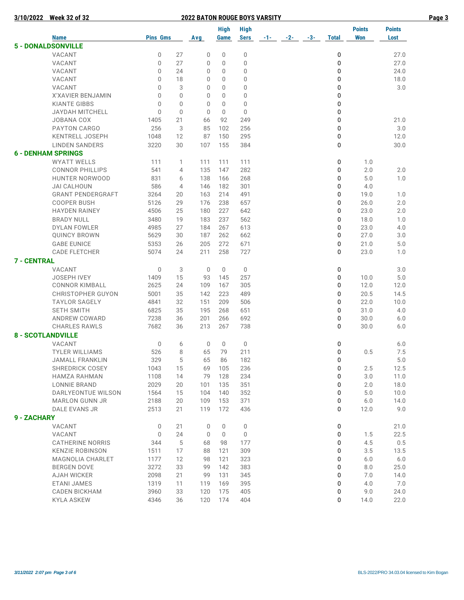|                    |                           |                 |                |              | <b>High</b> | <b>High</b> |          |       |       |              | <b>Points</b> | <b>Points</b> |
|--------------------|---------------------------|-----------------|----------------|--------------|-------------|-------------|----------|-------|-------|--------------|---------------|---------------|
|                    | <b>Name</b>               | <b>Pins Gms</b> |                | Avg          | Game        | <b>Sers</b> | $-1 - 1$ | $-2-$ | $-3-$ | <b>Total</b> | <b>Won</b>    | Lost          |
|                    | <b>5 - DONALDSONVILLE</b> |                 |                |              |             |             |          |       |       |              |               |               |
|                    | VACANT                    | 0               | 27             | 0            | $\mathbf 0$ | $\mathbf 0$ |          |       |       | 0            |               | 27.0          |
|                    | <b>VACANT</b>             | 0               | 27             | 0            | 0           | 0           |          |       |       | 0            |               | 27.0          |
|                    | VACANT                    | 0               | 24             | 0            | $\Omega$    | 0           |          |       |       | 0            |               | 24.0          |
|                    | VACANT                    | $\Omega$        | 18             | 0            | $\Omega$    | 0           |          |       |       | 0            |               | 18.0          |
|                    | VACANT                    | 0               | 3              | 0            | 0           | 0           |          |       |       | 0            |               | 3.0           |
|                    | X'XAVIER BENJAMIN         | 0               | $\overline{0}$ | 0            | $\Omega$    | 0           |          |       |       | 0            |               |               |
|                    | <b>KIANTE GIBBS</b>       | 0               | $\overline{0}$ | 0            | $\Omega$    | 0           |          |       |       | 0            |               |               |
|                    | <b>JAYDAH MITCHELL</b>    | $\Omega$        | $\overline{0}$ | 0            | $\Omega$    | 0           |          |       |       | 0            |               |               |
|                    | <b>JOBANA COX</b>         | 1405            | 21             | 66           | 92          | 249         |          |       |       | 0            |               | 21.0          |
|                    | <b>PAYTON CARGO</b>       | 256             | 3              | 85           | 102         | 256         |          |       |       | 0            |               | 3.0           |
|                    | <b>KENTRELL JOSEPH</b>    | 1048            | 12             | 87           | 150         | 295         |          |       |       | 0            |               | 12.0          |
|                    | <b>LINDEN SANDERS</b>     | 3220            | 30             | 107          | 155         | 384         |          |       |       | 0            |               | 30.0          |
|                    | <b>6 - DENHAM SPRINGS</b> |                 |                |              |             |             |          |       |       |              |               |               |
|                    | <b>WYATT WELLS</b>        | 111             | 1              | 111          | 111         | 111         |          |       |       | 0            | 1.0           |               |
|                    | <b>CONNOR PHILLIPS</b>    | 541             | 4              | 135          | 147         | 282         |          |       |       | 0            | 2.0           | 2.0           |
|                    | <b>HUNTER NORWOOD</b>     | 831             | 6              | 138          | 166         | 268         |          |       |       | 0            | 5.0           | 1.0           |
|                    | <b>JAI CALHOUN</b>        | 586             | $\overline{4}$ | 146          | 182         | 301         |          |       |       | 0            | 4.0           |               |
|                    | <b>GRANT PENDERGRAFT</b>  | 3264            | 20             | 163          | 214         | 491         |          |       |       | 0            | 19.0          | 1.0           |
|                    | <b>COOPER BUSH</b>        | 5126            | 29             | 176          | 238         | 657         |          |       |       | 0            | 26.0          | 2.0           |
|                    | <b>HAYDEN RAINEY</b>      | 4506            | 25             | 180          | 227         | 642         |          |       |       | 0            | 23.0          | 2.0           |
|                    | <b>BRADY NULL</b>         | 3480            | 19             | 183          | 237         | 562         |          |       |       | 0            | 18.0          | 1.0           |
|                    | <b>DYLAN FOWLER</b>       | 4985            | 27             | 184          | 267         | 613         |          |       |       | 0            | 23.0          | 4.0           |
|                    | <b>QUINCY BROWN</b>       | 5629            | 30             | 187          | 262         | 662         |          |       |       | 0            | 27.0          | 3.0           |
|                    | <b>GABE EUNICE</b>        | 5353            | 26             | 205          | 272         | 671         |          |       |       | 0            | 21.0          | 5.0           |
|                    | <b>CADE FLETCHER</b>      | 5074            | 24             | 211          | 258         | 727         |          |       |       | 0            | 23.0          | 1.0           |
| <b>7 - CENTRAL</b> |                           |                 |                |              |             |             |          |       |       |              |               |               |
|                    | VACANT                    | 0               | 3              | $\mathbf{0}$ | 0           | 0           |          |       |       | 0            |               | 3.0           |
|                    | <b>JOSEPH IVEY</b>        | 1409            | 15             | 93           | 145         | 257         |          |       |       | 0            | 10.0          | 5.0           |
|                    | <b>CONNOR KIMBALL</b>     | 2625            | 24             | 109          | 167         | 305         |          |       |       | 0            | 12.0          | 12.0          |
|                    | <b>CHRISTOPHER GUYON</b>  | 5001            | 35             | 142          | 223         | 489         |          |       |       | 0            | 20.5          | 14.5          |
|                    | <b>TAYLOR SAGELY</b>      | 4841            | 32             | 151          | 209         | 506         |          |       |       | 0            | 22.0          | 10.0          |
|                    | <b>SETH SMITH</b>         | 6825            | 35             | 195          | 268         | 651         |          |       |       | 0            | 31.0          | 4.0           |
|                    | ANDREW COWARD             | 7238            | 36             | 201          | 266         | 692         |          |       |       | 0            | 30.0          | 6.0           |
|                    | <b>CHARLES RAWLS</b>      | 7682            | 36             | 213          | 267         | 738         |          |       |       | 0            | 30.0          | 6.0           |
|                    | <b>8 - SCOTLANDVILLE</b>  |                 |                |              |             |             |          |       |       |              |               |               |
|                    | <b>VACANT</b>             | $\mathbf{0}$    | 6              | 0            | 0           | 0           |          |       |       | 0            |               | 6.0           |
|                    | <b>TYLER WILLIAMS</b>     | 526             | 8              | 65           | 79          | 211         |          |       |       | 0            | 0.5           | 7.5           |
|                    | <b>JAMALL FRANKLIN</b>    | 329             | 5              | 65           | 86          | 182         |          |       |       | $\Omega$     |               | 5.0           |
|                    | SHREDRICK COSEY           | 1043            | 15             | 69           | 105         | 236         |          |       |       | 0            | 2.5           | 12.5          |
|                    | <b>HAMZA RAHMAN</b>       | 1108            | 14             | 79           | 128         | 234         |          |       |       | 0            | 3.0           | 11.0          |
|                    | <b>LONNIE BRAND</b>       | 2029            | 20             | 101          | 135         | 351         |          |       |       | 0            | 2.0           | 18.0          |
|                    | DARLYEONTUE WILSON        | 1564            | 15             | 104          | 140         | 352         |          |       |       | 0            | 5.0           | 10.0          |
|                    | MARLON GUNN JR            | 2188            | 20             | 109          | 153         | 371         |          |       |       | 0            | 6.0           | 14.0          |
|                    | DALE EVANS JR             | 2513            | 21             | 119          | 172         | 436         |          |       |       | 0            | 12.0          | 9.0           |
|                    |                           |                 |                |              |             |             |          |       |       |              |               |               |
| 9 - ZACHARY        |                           |                 |                |              |             |             |          |       |       |              |               |               |
|                    | VACANT                    | 0               | 21             | 0            | 0           | 0           |          |       |       | 0            |               | 21.0          |
|                    | VACANT                    | $\mathbf 0$     | 24             | 0            | 0           | $\mathbf 0$ |          |       |       | 0            | 1.5           | 22.5          |
|                    | <b>CATHERINE NORRIS</b>   | 344             | 5              | 68           | 98          | 177         |          |       |       | 0            | 4.5           | 0.5           |
|                    | <b>KENZIE ROBINSON</b>    | 1511            | 17             | 88           | 121         | 309         |          |       |       | 0            | 3.5           | 13.5          |
|                    | <b>MAGNOLIA CHARLET</b>   | 1177            | 12             | 98           | 121         | 323         |          |       |       | 0            | $6.0$         | $6.0$         |
|                    | <b>BERGEN DOVE</b>        | 3272            | 33             | 99           | 142         | 383         |          |       |       | 0            | $8.0\,$       | 25.0          |
|                    | <b>AJAH WICKER</b>        | 2098            | 21             | 99           | 131         | 345         |          |       |       | 0            | 7.0           | 14.0          |
|                    | ETANI JAMES               | 1319            | 11             | 119          | 169         | 395         |          |       |       | 0            | 4.0           | 7.0           |
|                    | CADEN BICKHAM             | 3960            | 33             | 120          | 175         | 405         |          |       |       | 0            | 9.0           | 24.0          |
|                    | <b>KYLA ASKEW</b>         | 4346            | 36             | 120          | 174         | 404         |          |       |       | 0            | 14.0          | 22.0          |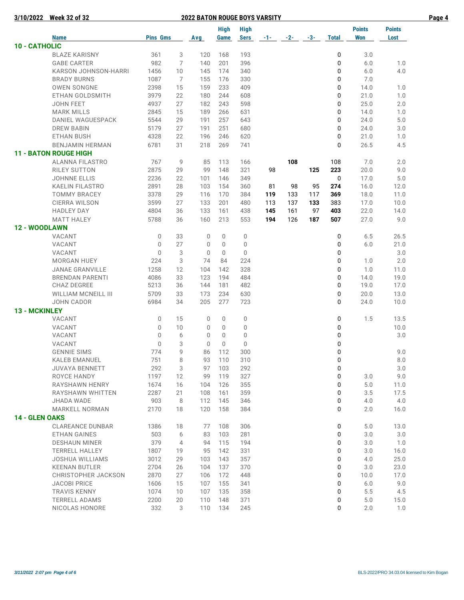| 3/10/2022             | <b>Week 32 of 32</b>         |                 | <b>2022 BATON ROUGE BOYS VARSITY</b> |              |              |             |            |       |       |              |               |               |  |
|-----------------------|------------------------------|-----------------|--------------------------------------|--------------|--------------|-------------|------------|-------|-------|--------------|---------------|---------------|--|
|                       |                              |                 |                                      |              | <b>High</b>  | <b>High</b> |            |       |       |              | <b>Points</b> | <b>Points</b> |  |
|                       | <b>Name</b>                  | <b>Pins Gms</b> |                                      | Avg          | Game         | Sers        | $-1$ - $-$ | $-2-$ | $-3-$ | <b>Total</b> | <b>Won</b>    | Lost          |  |
| 10 - CATHOLIC         |                              |                 |                                      |              |              |             |            |       |       |              |               |               |  |
|                       | <b>BLAZE KARISNY</b>         | 361             | 3                                    | 120          | 168          | 193         |            |       |       | 0            | 3.0           |               |  |
|                       | <b>GABE CARTER</b>           | 982             | 7                                    | 140          | 201          | 396         |            |       |       | 0            | 6.0           | 1.0           |  |
|                       | KARSON JOHNSON-HARRI         | 1456            | 10                                   | 145          | 174          | 340         |            |       |       | 0            | $6.0$         | 4.0           |  |
|                       | <b>BRADY BURNS</b>           | 1087            | 7                                    | 155          | 176          | 330         |            |       |       | 0            | 7.0           |               |  |
|                       | <b>OWEN SONGNE</b>           | 2398            | 15                                   | 159          | 233          | 409         |            |       |       | 0            | 14.0          | 1.0           |  |
|                       | ETHAN GOLDSMITH              | 3979            | 22                                   | 180          | 244          | 608         |            |       |       | 0            | 21.0          | 1.0           |  |
|                       | JOHN FEET                    | 4937            | 27                                   | 182          | 243          | 598         |            |       |       | 0            | 25.0          | 2.0           |  |
|                       | <b>MARK MILLS</b>            | 2845            | 15                                   | 189          | 266          | 631         |            |       |       | 0            | 14.0          | 1.0           |  |
|                       | DANIEL WAGUESPACK            | 5544            | 29                                   | 191          | 257          | 643         |            |       |       | 0            | 24.0          | $5.0$         |  |
|                       | <b>DREW BABIN</b>            | 5179            | 27                                   | 191          | 251          | 680         |            |       |       | 0            | 24.0          | 3.0           |  |
|                       | ETHAN BUSH                   | 4328            | 22                                   | 196          | 246          | 620         |            |       |       | 0            | 21.0          | 1.0           |  |
|                       | <b>BENJAMIN HERMAN</b>       | 6781            | 31                                   | 218          | 269          | 741         |            |       |       | 0            | 26.5          | 4.5           |  |
|                       | <b>11 - BATON ROUGE HIGH</b> |                 |                                      |              |              |             |            |       |       |              |               |               |  |
|                       | <b>ALANNA FILASTRO</b>       | 767             | 9                                    | 85           | 113          | 166         |            | 108   |       | 108          | 7.0           | 2.0           |  |
|                       | RILEY SUTTON                 | 2875            | 29                                   | 99           | 148          | 321         | 98         |       | 125   | 223          | 20.0          | 9.0           |  |
|                       | <b>JOHNNE ELLIS</b>          | 2236            | 22                                   | 101          | 146          | 349         |            |       |       | $\mathbf 0$  | 17.0          | 5.0           |  |
|                       | KAELIN FILASTRO              | 2891            | 28                                   | 103          | 154          | 360         | 81         | 98    | 95    | 274          | 16.0          | 12.0          |  |
|                       | <b>TOMMY BRACEY</b>          | 3378            | 29                                   | 116          | 170          | 384         | 119        | 133   | 117   | 369          | 18.0          | 11.0          |  |
|                       | <b>CIERRA WILSON</b>         | 3599            | 27                                   | 133          | 201          | 480         | 113        | 137   | 133   | 383          | 17.0          | 10.0          |  |
|                       | <b>HADLEY DAY</b>            | 4804            | 36                                   | 133          | 161          | 438         | 145        | 161   | 97    | 403          | 22.0          | 14.0          |  |
|                       | <b>MATT HALEY</b>            | 5788            | 36                                   | 160          | 213          | 553         | 194        | 126   | 187   | 507          | 27.0          | 9.0           |  |
| <b>12 - WOODLAWN</b>  |                              |                 |                                      |              |              |             |            |       |       |              |               |               |  |
|                       | VACANT                       | 0               | 33                                   | $\mathbf 0$  | $\mathbf 0$  | 0           |            |       |       | 0            | 6.5           | 26.5          |  |
|                       | VACANT                       | 0               | 27                                   | 0            | $\mathbf{0}$ | 0           |            |       |       | 0            | 6.0           | 21.0          |  |
|                       | VACANT                       | $\mathbf 0$     | 3                                    | $\mathbf 0$  | $\mathbf{0}$ | $\mathbf 0$ |            |       |       | 0            |               | $3.0\,$       |  |
|                       | <b>MORGAN HUEY</b>           | 224             | 3                                    | 74           | 84           | 224         |            |       |       | 0            | 1.0           | 2.0           |  |
|                       | <b>JANAE GRANVILLE</b>       | 1258            | 12                                   | 104          | 142          | 328         |            |       |       | 0            | 1.0           | 11.0          |  |
|                       | <b>BRENDAN PARENTI</b>       | 4086            | 33                                   | 123          | 194          | 484         |            |       |       | 0            | 14.0          | 19.0          |  |
|                       | <b>CHAZ DEGREE</b>           | 5213            | 36                                   | 144          | 181          | 482         |            |       |       | 0            | 19.0          | 17.0          |  |
|                       | <b>WILLIAM MCNEILL III</b>   | 5709            | 33                                   | 173          | 234          | 630         |            |       |       | 0            | 20.0          | 13.0          |  |
|                       | <b>JOHN CADOR</b>            | 6984            | 34                                   | 205          | 277          | 723         |            |       |       | 0            | 24.0          | 10.0          |  |
| 13 - MCKINLEY         |                              |                 |                                      |              |              |             |            |       |       |              |               |               |  |
|                       | VACANT                       | $\mathbf 0$     | 15                                   | $\mathbf{0}$ | $\mathbf 0$  | 0           |            |       |       | 0            | 1.5           | 13.5          |  |
|                       | VACANT                       | 0               | 10                                   | 0            | $\mathbf 0$  | 0           |            |       |       | 0            |               | 10.0          |  |
|                       | VACANT                       | $\mathbf{0}$    | 6                                    | 0            | $\mathbf{0}$ | 0           |            |       |       | 0            |               | 3.0           |  |
|                       | VACANT                       | $\mathbf 0$     | 3                                    | $\mathbf 0$  | $\Omega$     | $\mathbf 0$ |            |       |       | 0            |               |               |  |
|                       | <b>GENNIE SIMS</b>           | 774             | $\mathsf{Q}$                         | 86           | 112          | 300         |            |       |       | $\Omega$     |               | 9.0           |  |
|                       | KALEB EMANUEL                | 751             | 8                                    | 93           | 110          | 310         |            |       |       | 0            |               | 8.0           |  |
|                       | JUVAYA BENNETT               | 292             | 3                                    | 97           | 103          | 292         |            |       |       | 0            |               | $3.0\,$       |  |
|                       | ROYCE HANDY                  | 1197            | 12                                   | 99           | 119          | 327         |            |       |       | 0            | $3.0\,$       | 9.0           |  |
|                       | RAYSHAWN HENRY               | 1674            | 16                                   | 104          | 126          | 355         |            |       |       | 0            | $5.0$         | 11.0          |  |
|                       | RAYSHAWN WHITTEN             | 2287            | 21                                   | 108          | 161          | 359         |            |       |       | 0            | 3.5           | 17.5          |  |
|                       | JHADA WADE                   | 903             | 8                                    | 112          | 145          | 346         |            |       |       | 0            | 4.0           | 4.0           |  |
|                       | <b>MARKELL NORMAN</b>        | 2170            | 18                                   | 120          | 158          | 384         |            |       |       | 0            | 2.0           | 16.0          |  |
| <b>14 - GLEN OAKS</b> |                              |                 |                                      |              |              |             |            |       |       |              |               |               |  |
|                       | <b>CLAREANCE DUNBAR</b>      | 1386            | 18                                   | 77           | 108          | 306         |            |       |       | 0            | 5.0           | 13.0          |  |
|                       | ETHAN GAINES                 | 503             | 6                                    | 83           | 103          | 281         |            |       |       | 0            | 3.0           | 3.0           |  |
|                       | <b>DESHAUN MINER</b>         | 379             | $\overline{4}$                       | 94           | 115          | 194         |            |       |       | 0            | 3.0           | 1.0           |  |
|                       | <b>TERRELL HALLEY</b>        | 1807            | 19                                   | 95           | 142          | 331         |            |       |       | 0            | $3.0\,$       | 16.0          |  |
|                       | JOSHUA WILLIAMS              | 3012            | 29                                   | 103          | 143          | 357         |            |       |       | 0            | 4.0           | 25.0          |  |
|                       | <b>KEENAN BUTLER</b>         | 2704            | 26                                   | 104          | 137          | 370         |            |       |       | 0            | 3.0           | 23.0          |  |
|                       | CHRISTOPHER JACKSON          | 2870            | 27                                   | 106          | 172          | 448         |            |       |       | 0            | 10.0          | 17.0          |  |
|                       | <b>JACOBI PRICE</b>          | 1606            | 15                                   | 107          | 155          | 341         |            |       |       | 0            | 6.0           | 9.0           |  |
|                       | TRAVIS KENNY                 | 1074            | 10                                   | 107          | 135          | 358         |            |       |       | 0            | 5.5           | 4.5           |  |
|                       | <b>TERRELL ADAMS</b>         | 2200            | 20                                   | 110          | 148          | 371         |            |       |       | 0            | 5.0           | 15.0          |  |
|                       | NICOLAS HONORE               | 332             | 3                                    | 110          | 134          | 245         |            |       |       | 0            | 2.0           | 1.0           |  |
|                       |                              |                 |                                      |              |              |             |            |       |       |              |               |               |  |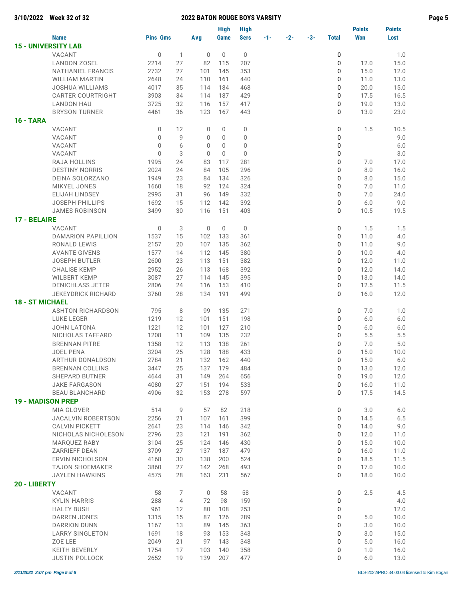|                        | 3/10/2022 Week 32 of 32                         |                 |                | <b>2022 BATON ROUGE BOYS VARSITY</b> |             |                    |       |       |       |              |                |               | Page 5 |
|------------------------|-------------------------------------------------|-----------------|----------------|--------------------------------------|-------------|--------------------|-------|-------|-------|--------------|----------------|---------------|--------|
|                        |                                                 |                 |                |                                      | <b>High</b> | <b>High</b>        |       |       |       |              | <b>Points</b>  | <b>Points</b> |        |
|                        | <b>Name</b>                                     | <b>Pins Gms</b> |                | Avg                                  | Game        | <b>Sers</b>        | $-1-$ | $-2-$ | $-3-$ | <b>Total</b> | <b>Won</b>     | Lost          |        |
|                        | <b>15 - UNIVERSITY LAB</b>                      |                 |                |                                      |             |                    |       |       |       |              |                |               |        |
|                        | VACANT                                          | $\mathbb O$     | $\mathbf{1}$   | 0                                    | $\mathbf 0$ | $\mathbb O$        |       |       |       | 0            |                | 1.0           |        |
|                        | <b>LANDON ZOSEL</b>                             | 2214            | 27             | 82                                   | 115         | 207                |       |       |       | 0            | 12.0           | 15.0          |        |
|                        | NATHANIEL FRANCIS                               | 2732            | 27             | 101                                  | 145         | 353                |       |       |       | 0            | 15.0           | 12.0          |        |
|                        | <b>WILLIAM MARTIN</b>                           | 2648            | 24             | 110                                  | 161         | 440                |       |       |       | 0            | 11.0           | 13.0          |        |
|                        | <b>JOSHUA WILLIAMS</b>                          | 4017            | 35             | 114                                  | 184         | 468                |       |       |       | 0            | 20.0           | 15.0          |        |
|                        | <b>CARTER COURTRIGHT</b>                        | 3903            | 34             | 114                                  | 187         | 429                |       |       |       | 0            | 17.5           | 16.5          |        |
|                        | <b>LANDON HAU</b>                               | 3725            | 32             | 116                                  | 157         | 417                |       |       |       | 0            | 19.0           | 13.0          |        |
|                        | <b>BRYSON TURNER</b>                            | 4461            | 36             | 123                                  | 167         | 443                |       |       |       | 0            | 13.0           | 23.0          |        |
| <b>16 - TARA</b>       |                                                 |                 |                |                                      |             |                    |       |       |       |              |                |               |        |
|                        | VACANT                                          | 0               | 12             | 0                                    | 0           | 0                  |       |       |       | 0            | 1.5            | 10.5          |        |
|                        | VACANT                                          | 0               | 9              | 0                                    | 0           | 0                  |       |       |       | 0            |                | 9.0           |        |
|                        | VACANT                                          | 0               | 6              | 0                                    | $\mathbf 0$ | 0                  |       |       |       | 0            |                | 6.0           |        |
|                        | VACANT                                          | $\Omega$        | 3              | $\Omega$                             | $\mathbf 0$ | 0                  |       |       |       | 0            |                | 3.0           |        |
|                        | RAJA HOLLINS                                    | 1995            | 24             | 83                                   | 117         | 281                |       |       |       | 0            | 7.0            | 17.0          |        |
|                        | <b>DESTINY NORRIS</b>                           | 2024            | 24             | 84                                   | 105         | 296                |       |       |       | 0            | 8.0            | 16.0          |        |
|                        | DEINA SOLORZANO                                 | 1949            | 23             | 84                                   | 134         | 326                |       |       |       | 0            | 8.0            | 15.0          |        |
|                        | MIKYEL JONES                                    | 1660<br>2995    | 18             | 92                                   | 124         | 324                |       |       |       | 0<br>0       | 7.0            | 11.0          |        |
|                        | <b>ELIJAH LINDSEY</b>                           |                 | 31             | 96                                   | 149         | 332                |       |       |       |              | 7.0            | 24.0          |        |
|                        | <b>JOSEPH PHILLIPS</b><br><b>JAMES ROBINSON</b> | 1692<br>3499    | 15<br>30       | 112<br>116                           | 142<br>151  | 392<br>403         |       |       |       | 0<br>0       | 6.0<br>10.5    | 9.0<br>19.5   |        |
|                        |                                                 |                 |                |                                      |             |                    |       |       |       |              |                |               |        |
| 17 - BELAIRE           |                                                 |                 |                |                                      |             |                    |       |       |       |              |                |               |        |
|                        | VACANT<br><b>DAMARION PAPILLION</b>             | 0<br>1537       | 3<br>15        | 0<br>102                             | 0<br>133    | $\mathbf 0$<br>361 |       |       |       | 0<br>0       | 1.5<br>11.0    | 1.5<br>4.0    |        |
|                        | RONALD LEWIS                                    | 2157            | 20             | 107                                  | 135         | 362                |       |       |       | 0            | 11.0           | 9.0           |        |
|                        | <b>AVANTE GIVENS</b>                            | 1577            | 14             | 112                                  | 145         | 380                |       |       |       | 0            | 10.0           | 4.0           |        |
|                        | <b>JOSEPH BUTLER</b>                            | 2600            | 23             | 113                                  | 151         | 382                |       |       |       | 0            | 12.0           | 11.0          |        |
|                        | <b>CHALISE KEMP</b>                             | 2952            | 26             | 113                                  | 168         | 392                |       |       |       | 0            | 12.0           | 14.0          |        |
|                        | <b>WILBERT KEMP</b>                             | 3087            | 27             | 114                                  | 145         | 395                |       |       |       | 0            | 13.0           | 14.0          |        |
|                        | DENICHLASS JETER                                | 2806            | 24             | 116                                  | 153         | 410                |       |       |       | 0            | 12.5           | 11.5          |        |
|                        | <b>JEKEYDRICK RICHARD</b>                       | 3760            | 28             | 134                                  | 191         | 499                |       |       |       | 0            | 16.0           | 12.0          |        |
| <b>18 - ST MICHAEL</b> |                                                 |                 |                |                                      |             |                    |       |       |       |              |                |               |        |
|                        | <b>ASHTON RICHARDSON</b>                        | 795             | 8              | 99                                   | 135         | 271                |       |       |       | 0            | 7.0            | 1.0           |        |
|                        | LUKE LEGER                                      | 1219            | 12             | 101                                  | 151         | 198                |       |       |       | 0            | 6.0            | 6.0           |        |
|                        | <b>JOHN LATONA</b>                              | 1221            | 12             | 101                                  | 127         | 210                |       |       |       | 0            | $6.0$          | 6.0           |        |
|                        | NICHOLAS TAFFARO                                | 1208            | 11             | 109                                  | 135         | 232                |       |       |       | 0            | 5.5            | 5.5           |        |
|                        | <b>BRENNAN PITRE</b>                            | 1358            | 12             | 113                                  | 138         | 261                |       |       |       | 0            | 7.0            | 5.0           |        |
|                        | JOEL PENA                                       | 3204            | 25             | 128                                  | 188         | 433                |       |       |       | 0            | 15.0           | 10.0          |        |
|                        | ARTHUR DONALDSON                                | 2784            | 21             | 132                                  | 162         | 440                |       |       |       | 0            | 15.0           | 6.0           |        |
|                        | <b>BRENNAN COLLINS</b>                          | 3447            | 25             | 137                                  | 179         | 484                |       |       |       | 0            | 13.0           | 12.0          |        |
|                        | SHEPARD BUTNER                                  | 4644            | 31             | 149                                  | 264         | 656                |       |       |       | 0            | 19.0           | 12.0          |        |
|                        | <b>JAKE FARGASON</b>                            | 4080            | 27             | 151                                  | 194         | 533                |       |       |       | 0            | 16.0           | 11.0          |        |
|                        | <b>BEAU BLANCHARD</b>                           | 4906            | 32             | 153                                  | 278         | 597                |       |       |       | 0            | 17.5           | 14.5          |        |
|                        | <b>19 - MADISON PREP</b>                        |                 |                |                                      |             |                    |       |       |       |              |                |               |        |
|                        | MIA GLOVER                                      | 514             | 9              | 57                                   | 82          | 218                |       |       |       | 0            | 3.0            | 6.0           |        |
|                        | JACALVIN ROBERTSON                              | 2256            | 21             | 107                                  | 161         | 399                |       |       |       | 0            | 14.5           | $6.5$         |        |
|                        | <b>CALVIN PICKETT</b>                           | 2641            | 23             | 114                                  | 146         | 342                |       |       |       | 0            | 14.0           | 9.0           |        |
|                        | NICHOLAS NICHOLESON                             | 2796            | 23             | 121                                  | 191         | 362                |       |       |       | 0            | 12.0           | 11.0          |        |
|                        | MARQUEZ RABY                                    | 3104            | 25             | 124                                  | 146         | 430                |       |       |       | 0            | 15.0           | 10.0          |        |
|                        | ZARRIEFF DEAN                                   | 3709            | 27             | 137                                  | 187         | 479                |       |       |       | 0            | 16.0           | 11.0          |        |
|                        | ERVIN NICHOLSON                                 | 4168            | 30             | 138                                  | 200         | 524                |       |       |       | 0            | 18.5           | 11.5          |        |
|                        | <b>TAJON SHOEMAKER</b>                          | 3860            | 27             | 142                                  | 268         | 493                |       |       |       | 0            | 17.0           | 10.0          |        |
|                        | <b>JAYLEN HAWKINS</b>                           | 4575            | 28             | 163                                  | 231         | 567                |       |       |       | 0            | 18.0           | 10.0          |        |
| 20 - LIBERTY           |                                                 |                 |                |                                      |             |                    |       |       |       |              |                |               |        |
|                        | VACANT                                          | 58              | 7              | $\mathbf 0$                          | 58          | 58                 |       |       |       | 0            | 2.5            | 4.5           |        |
|                        | <b>KYLIN HARRIS</b>                             | 288             | $\overline{4}$ | 72                                   | 98          | 159                |       |       |       | 0            |                | 4.0           |        |
|                        | <b>HALEY BUSH</b>                               | 961             | 12             | 80                                   | 108         | 253                |       |       |       | 0            |                | 12.0          |        |
|                        | DARREN JONES                                    | 1315            | 15             | 87<br>89                             | 126         | 289                |       |       |       | 0<br>0       | 5.0            | 10.0          |        |
|                        | <b>DARRION DUNN</b><br><b>LARRY SINGLETON</b>   | 1167<br>1691    | 13<br>18       | 93                                   | 145<br>153  | 363<br>343         |       |       |       | 0            | $3.0\,$<br>3.0 | 10.0<br>15.0  |        |
|                        | ZOE LEE                                         | 2049            | 21             | 97                                   | 143         | 348                |       |       |       | 0            | 5.0            | 16.0          |        |
|                        | KEITH BEVERLY                                   | 1754            | 17             | 103                                  | 140         | 358                |       |       |       | 0            | 1.0            | 16.0          |        |
|                        | <b>JUSTIN POLLOCK</b>                           | 2652            | 19             | 139                                  | 207         | 477                |       |       |       | 0            | 6.0            | 13.0          |        |
|                        |                                                 |                 |                |                                      |             |                    |       |       |       |              |                |               |        |